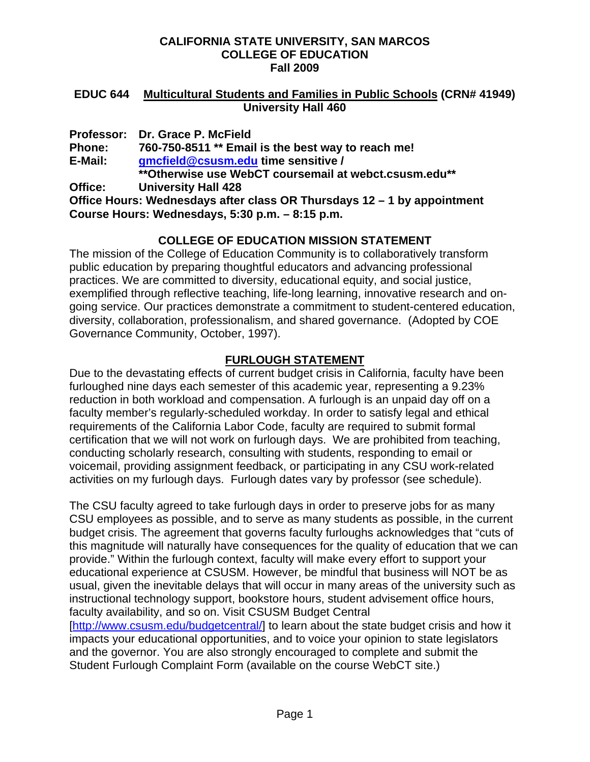#### **CALIFORNIA STATE UNIVERSITY, SAN MARCOS COLLEGE OF EDUCATION Fall 2009**

#### **EDUC 644 Multicultural Students and Families in Public Schools (CRN# 41949) University Hall 460**

**Professor: Dr. Grace P. McField Phone: 760-750-8511 \*\* Email is the best way to reach me! E-Mail: gmcfield@csusm.edu time sensitive / \*\*Otherwise use WebCT coursemail at webct.csusm.edu\*\* Office: University Hall 428** 

**Office Hours: Wednesdays after class OR Thursdays 12 – 1 by appointment Course Hours: Wednesdays, 5:30 p.m. – 8:15 p.m.** 

### **COLLEGE OF EDUCATION MISSION STATEMENT**

The mission of the College of Education Community is to collaboratively transform public education by preparing thoughtful educators and advancing professional practices. We are committed to diversity, educational equity, and social justice, exemplified through reflective teaching, life-long learning, innovative research and ongoing service. Our practices demonstrate a commitment to student-centered education, diversity, collaboration, professionalism, and shared governance. (Adopted by COE Governance Community, October, 1997).

## **FURLOUGH STATEMENT**

Due to the devastating effects of current budget crisis in California, faculty have been furloughed nine days each semester of this academic year, representing a 9.23% reduction in both workload and compensation. A furlough is an unpaid day off on a faculty member's regularly-scheduled workday. In order to satisfy legal and ethical requirements of the California Labor Code, faculty are required to submit formal certification that we will not work on furlough days. We are prohibited from teaching, conducting scholarly research, consulting with students, responding to email or voicemail, providing assignment feedback, or participating in any CSU work-related activities on my furlough days. Furlough dates vary by professor (see schedule).

The CSU faculty agreed to take furlough days in order to preserve jobs for as many CSU employees as possible, and to serve as many students as possible, in the current budget crisis. The agreement that governs faculty furloughs acknowledges that "cuts of this magnitude will naturally have consequences for the quality of education that we can provide." Within the furlough context, faculty will make every effort to support your educational experience at CSUSM. However, be mindful that business will NOT be as usual, given the inevitable delays that will occur in many areas of the university such as instructional technology support, bookstore hours, student advisement office hours, faculty availability, and so on. Visit CSUSM Budget Central

[http://www.csusm.edu/budgetcentral/] to learn about the state budget crisis and how it impacts your educational opportunities, and to voice your opinion to state legislators and the governor. You are also strongly encouraged to complete and submit the Student Furlough Complaint Form (available on the course WebCT site.)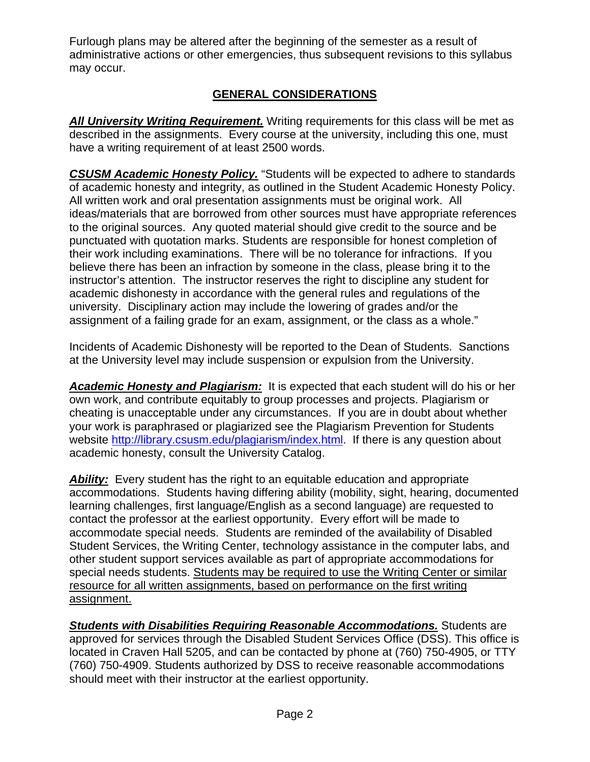Furlough plans may be altered after the beginning of the semester as a result of administrative actions or other emergencies, thus subsequent revisions to this syllabus may occur.

# **GENERAL CONSIDERATIONS**

**All University Writing Requirement.** Writing requirements for this class will be met as described in the assignments. Every course at the university, including this one, must have a writing requirement of at least 2500 words.

*CSUSM Academic Honesty Policy.* "Students will be expected to adhere to standards of academic honesty and integrity, as outlined in the Student Academic Honesty Policy. All written work and oral presentation assignments must be original work. All ideas/materials that are borrowed from other sources must have appropriate references to the original sources. Any quoted material should give credit to the source and be punctuated with quotation marks. Students are responsible for honest completion of their work including examinations. There will be no tolerance for infractions. If you believe there has been an infraction by someone in the class, please bring it to the instructor's attention. The instructor reserves the right to discipline any student for academic dishonesty in accordance with the general rules and regulations of the university. Disciplinary action may include the lowering of grades and/or the assignment of a failing grade for an exam, assignment, or the class as a whole."

Incidents of Academic Dishonesty will be reported to the Dean of Students. Sanctions at the University level may include suspension or expulsion from the University.

*Academic Honesty and Plagiarism:* It is expected that each student will do his or her own work, and contribute equitably to group processes and projects. Plagiarism or cheating is unacceptable under any circumstances. If you are in doubt about whether your work is paraphrased or plagiarized see the Plagiarism Prevention for Students website http://library.csusm.edu/plagiarism/index.html. If there is any question about academic honesty, consult the University Catalog.

*Ability:* Every student has the right to an equitable education and appropriate accommodations. Students having differing ability (mobility, sight, hearing, documented learning challenges, first language/English as a second language) are requested to contact the professor at the earliest opportunity. Every effort will be made to accommodate special needs. Students are reminded of the availability of Disabled Student Services, the Writing Center, technology assistance in the computer labs, and other student support services available as part of appropriate accommodations for special needs students. Students may be required to use the Writing Center or similar resource for all written assignments, based on performance on the first writing assignment.

*Students with Disabilities Requiring Reasonable Accommodations.* Students are approved for services through the Disabled Student Services Office (DSS). This office is located in Craven Hall 5205, and can be contacted by phone at (760) 750-4905, or TTY (760) 750-4909. Students authorized by DSS to receive reasonable accommodations should meet with their instructor at the earliest opportunity.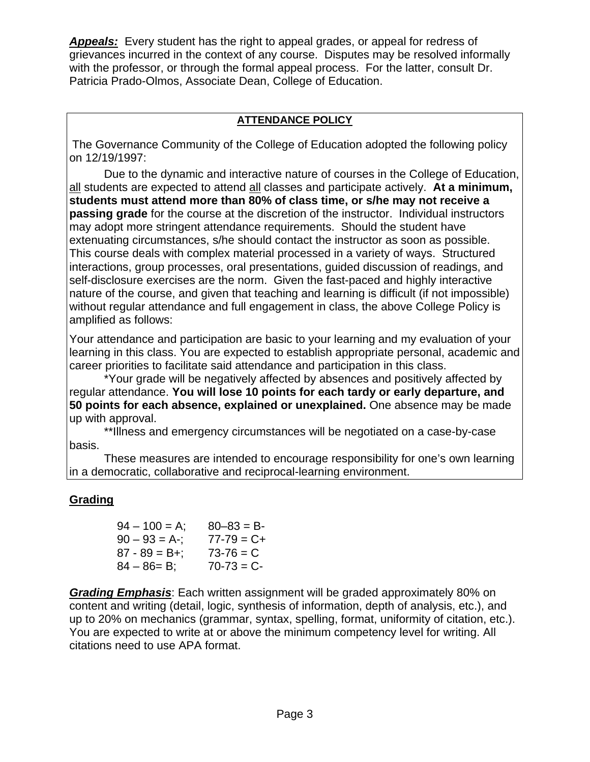*Appeals:* Every student has the right to appeal grades, or appeal for redress of grievances incurred in the context of any course. Disputes may be resolved informally with the professor, or through the formal appeal process. For the latter, consult Dr. Patricia Prado-Olmos, Associate Dean, College of Education.

### **ATTENDANCE POLICY**

The Governance Community of the College of Education adopted the following policy on 12/19/1997:

Due to the dynamic and interactive nature of courses in the College of Education, all students are expected to attend all classes and participate actively. **At a minimum, students must attend more than 80% of class time, or s/he may not receive a passing grade** for the course at the discretion of the instructor. Individual instructors may adopt more stringent attendance requirements. Should the student have extenuating circumstances, s/he should contact the instructor as soon as possible. This course deals with complex material processed in a variety of ways. Structured interactions, group processes, oral presentations, guided discussion of readings, and self-disclosure exercises are the norm. Given the fast-paced and highly interactive nature of the course, and given that teaching and learning is difficult (if not impossible) without regular attendance and full engagement in class, the above College Policy is amplified as follows:

Your attendance and participation are basic to your learning and my evaluation of your learning in this class. You are expected to establish appropriate personal, academic and career priorities to facilitate said attendance and participation in this class.

\*Your grade will be negatively affected by absences and positively affected by regular attendance. **You will lose 10 points for each tardy or early departure, and 50 points for each absence, explained or unexplained.** One absence may be made up with approval.

\*\*Illness and emergency circumstances will be negotiated on a case-by-case basis.

These measures are intended to encourage responsibility for one's own learning in a democratic, collaborative and reciprocal-learning environment.

### **Grading**

| $80 - 83 = B$   |
|-----------------|
| $77 - 79 = C +$ |
| $73 - 76 = C$   |
| $70 - 73 = C -$ |
|                 |

*Grading Emphasis*: Each written assignment will be graded approximately 80% on content and writing (detail, logic, synthesis of information, depth of analysis, etc.), and up to 20% on mechanics (grammar, syntax, spelling, format, uniformity of citation, etc.). You are expected to write at or above the minimum competency level for writing. All citations need to use APA format.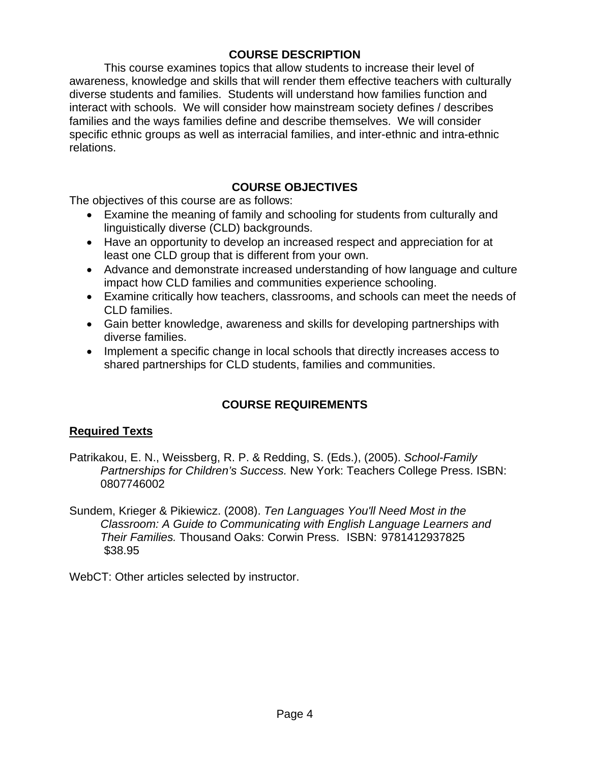### **COURSE DESCRIPTION**

This course examines topics that allow students to increase their level of awareness, knowledge and skills that will render them effective teachers with culturally diverse students and families. Students will understand how families function and interact with schools. We will consider how mainstream society defines / describes families and the ways families define and describe themselves. We will consider specific ethnic groups as well as interracial families, and inter-ethnic and intra-ethnic relations.

### **COURSE OBJECTIVES**

The objectives of this course are as follows:

- Examine the meaning of family and schooling for students from culturally and linguistically diverse (CLD) backgrounds.
- Have an opportunity to develop an increased respect and appreciation for at least one CLD group that is different from your own.
- Advance and demonstrate increased understanding of how language and culture impact how CLD families and communities experience schooling.
- Examine critically how teachers, classrooms, and schools can meet the needs of CLD families.
- Gain better knowledge, awareness and skills for developing partnerships with diverse families.
- Implement a specific change in local schools that directly increases access to shared partnerships for CLD students, families and communities.

## **COURSE REQUIREMENTS**

### **Required Texts**

- Patrikakou, E. N., Weissberg, R. P. & Redding, S. (Eds.), (2005). *School-Family Partnerships for Children's Success.* New York: Teachers College Press. ISBN: 0807746002
- Sundem, Krieger & Pikiewicz. (2008). *Ten Languages You'll Need Most in the Classroom: A Guide to Communicating with English Language Learners and Their Families.* Thousand Oaks: Corwin Press. ISBN: 9781412937825 \$38.95

WebCT: Other articles selected by instructor.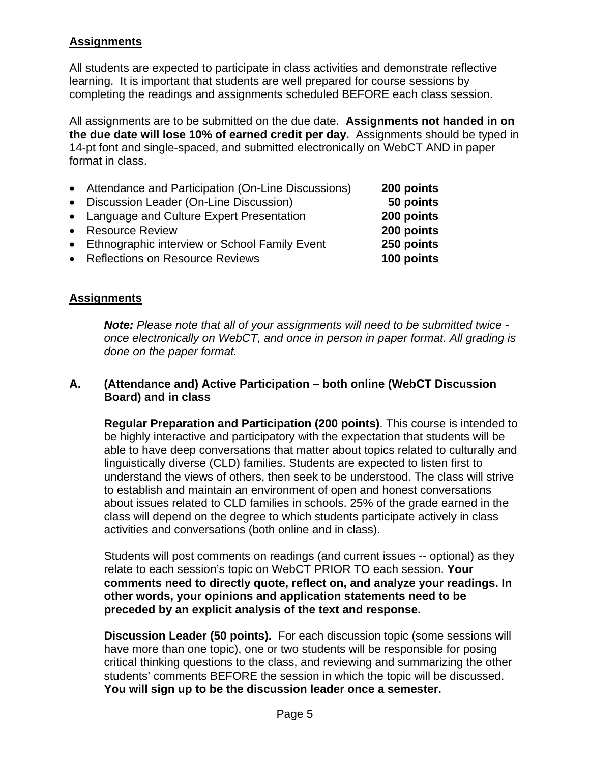### **Assignments**

All students are expected to participate in class activities and demonstrate reflective learning. It is important that students are well prepared for course sessions by completing the readings and assignments scheduled BEFORE each class session.

All assignments are to be submitted on the due date. **Assignments not handed in on the due date will lose 10% of earned credit per day.** Assignments should be typed in 14-pt font and single-spaced, and submitted electronically on WebCT AND in paper format in class.

250 points • Reflections on Resource Reviews **100 points**  • Attendance and Participation (On-Line Discussions) **200 points**  • Discussion Leader (On-Line Discussion) **50 points**  • Language and Culture Expert Presentation **200 points**  • Resource Review **200 points**  • Ethnographic interview or School Family Event **250 points** 

### **Assignments**

*Note: Please note that all of your assignments will need to be submitted twice once electronically on WebCT, and once in person in paper format. All grading is done on the paper format.* 

#### **A. (Attendance and) Active Participation – both online (WebCT Discussion Board) and in class**

**Regular Preparation and Participation (200 points)**. This course is intended to be highly interactive and participatory with the expectation that students will be able to have deep conversations that matter about topics related to culturally and linguistically diverse (CLD) families. Students are expected to listen first to understand the views of others, then seek to be understood. The class will strive to establish and maintain an environment of open and honest conversations about issues related to CLD families in schools. 25% of the grade earned in the class will depend on the degree to which students participate actively in class activities and conversations (both online and in class).

Students will post comments on readings (and current issues -- optional) as they relate to each session's topic on WebCT PRIOR TO each session. **Your comments need to directly quote, reflect on, and analyze your readings. In other words, your opinions and application statements need to be preceded by an explicit analysis of the text and response.** 

**Discussion Leader (50 points).** For each discussion topic (some sessions will have more than one topic), one or two students will be responsible for posing critical thinking questions to the class, and reviewing and summarizing the other students' comments BEFORE the session in which the topic will be discussed. **You will sign up to be the discussion leader once a semester.**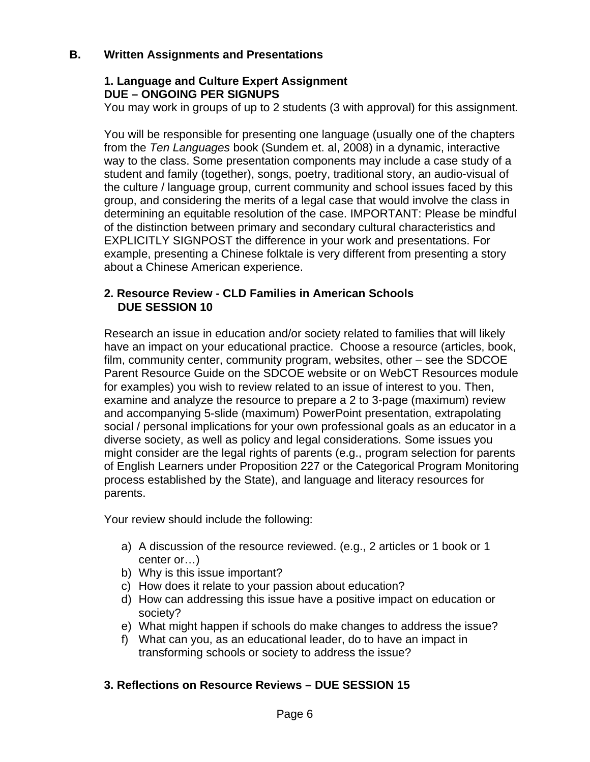### **B. Written Assignments and Presentations**

### **1. Language and Culture Expert Assignment DUE – ONGOING PER SIGNUPS**

You may work in groups of up to 2 students (3 with approval) for this assignment*.* 

You will be responsible for presenting one language (usually one of the chapters from the *Ten Languages* book (Sundem et. al, 2008) in a dynamic, interactive way to the class. Some presentation components may include a case study of a student and family (together), songs, poetry, traditional story, an audio-visual of the culture / language group, current community and school issues faced by this group, and considering the merits of a legal case that would involve the class in determining an equitable resolution of the case. IMPORTANT: Please be mindful of the distinction between primary and secondary cultural characteristics and EXPLICITLY SIGNPOST the difference in your work and presentations. For example, presenting a Chinese folktale is very different from presenting a story about a Chinese American experience.

### **2. Resource Review - CLD Families in American Schools DUE SESSION 10**

Research an issue in education and/or society related to families that will likely have an impact on your educational practice. Choose a resource (articles, book, film, community center, community program, websites, other – see the SDCOE Parent Resource Guide on the SDCOE website or on WebCT Resources module for examples) you wish to review related to an issue of interest to you. Then, examine and analyze the resource to prepare a 2 to 3-page (maximum) review and accompanying 5-slide (maximum) PowerPoint presentation, extrapolating social / personal implications for your own professional goals as an educator in a diverse society, as well as policy and legal considerations. Some issues you might consider are the legal rights of parents (e.g., program selection for parents of English Learners under Proposition 227 or the Categorical Program Monitoring process established by the State), and language and literacy resources for parents.

Your review should include the following:

- a) A discussion of the resource reviewed. (e.g., 2 articles or 1 book or 1 center or…)
- b) Why is this issue important?
- c) How does it relate to your passion about education?
- d) How can addressing this issue have a positive impact on education or society?
- e) What might happen if schools do make changes to address the issue?
- f) What can you, as an educational leader, do to have an impact in transforming schools or society to address the issue?

## **3. Reflections on Resource Reviews – DUE SESSION 15**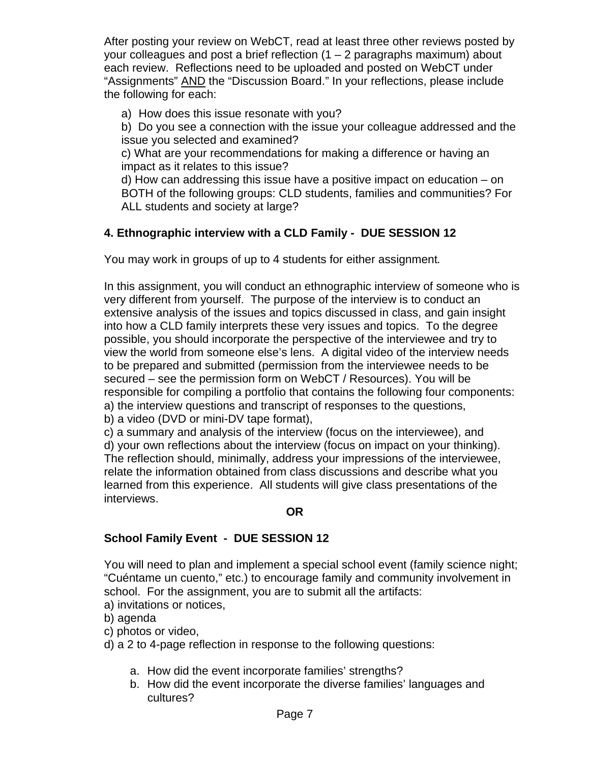After posting your review on WebCT, read at least three other reviews posted by your colleagues and post a brief reflection  $(1 – 2)$  paragraphs maximum) about each review. Reflections need to be uploaded and posted on WebCT under "Assignments" **AND** the "Discussion Board." In your reflections, please include the following for each:

a) How does this issue resonate with you?

b) Do you see a connection with the issue your colleague addressed and the issue you selected and examined?

c) What are your recommendations for making a difference or having an impact as it relates to this issue?

d) How can addressing this issue have a positive impact on education – on BOTH of the following groups: CLD students, families and communities? For ALL students and society at large?

# **4. Ethnographic interview with a CLD Family - DUE SESSION 12**

You may work in groups of up to 4 students for either assignment*.* 

In this assignment, you will conduct an ethnographic interview of someone who is very different from yourself. The purpose of the interview is to conduct an extensive analysis of the issues and topics discussed in class, and gain insight into how a CLD family interprets these very issues and topics. To the degree possible, you should incorporate the perspective of the interviewee and try to view the world from someone else's lens. A digital video of the interview needs to be prepared and submitted (permission from the interviewee needs to be secured – see the permission form on WebCT / Resources). You will be responsible for compiling a portfolio that contains the following four components: a) the interview questions and transcript of responses to the questions, b) a video (DVD or mini-DV tape format),

c) a summary and analysis of the interview (focus on the interviewee), and d) your own reflections about the interview (focus on impact on your thinking). The reflection should, minimally, address your impressions of the interviewee, relate the information obtained from class discussions and describe what you learned from this experience. All students will give class presentations of the interviews.

### **OR**

## **School Family Event - DUE SESSION 12**

You will need to plan and implement a special school event (family science night; "Cuéntame un cuento," etc.) to encourage family and community involvement in school. For the assignment, you are to submit all the artifacts:

- a) invitations or notices,
- b) agenda
- c) photos or video,
- d) a 2 to 4-page reflection in response to the following questions:
	- a. How did the event incorporate families' strengths?
	- b. How did the event incorporate the diverse families' languages and cultures?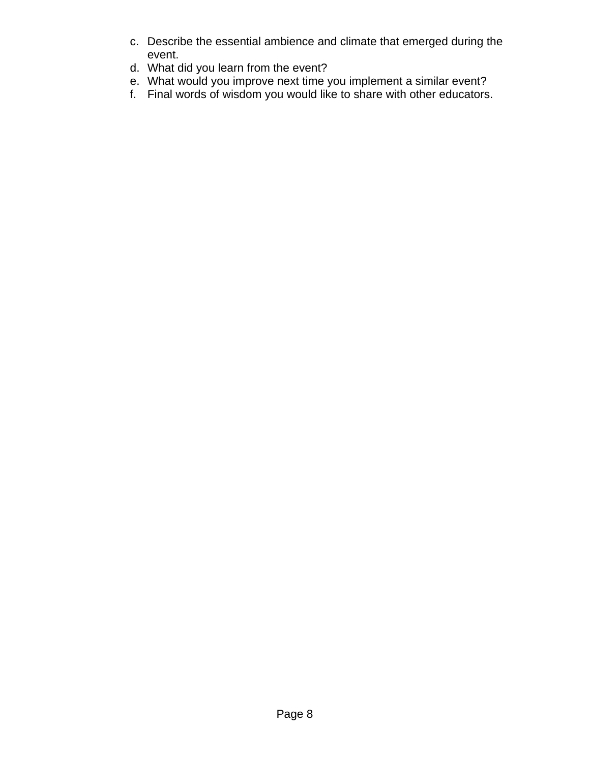- c. Describe the essential ambience and climate that emerged during the event.
- d. What did you learn from the event?
- e. What would you improve next time you implement a similar event?
- f. Final words of wisdom you would like to share with other educators.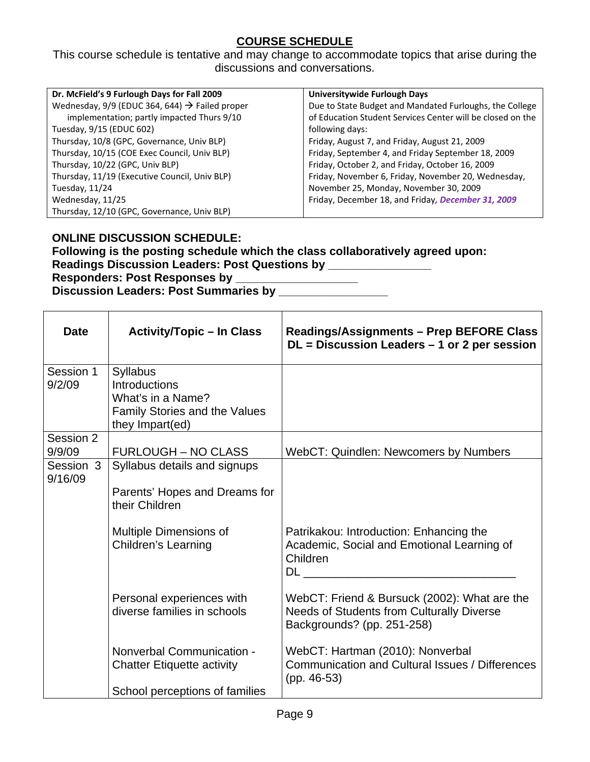## **COURSE SCHEDULE**

This course schedule is tentative and may change to accommodate topics that arise during the discussions and conversations.

| Dr. McField's 9 Furlough Days for Fall 2009                | Universitywide Furlough Days                               |
|------------------------------------------------------------|------------------------------------------------------------|
| Wednesday, 9/9 (EDUC 364, 644) $\rightarrow$ Failed proper | Due to State Budget and Mandated Furloughs, the College    |
| implementation; partly impacted Thurs 9/10                 | of Education Student Services Center will be closed on the |
| Tuesday, 9/15 (EDUC 602)                                   | following days:                                            |
| Thursday, 10/8 (GPC, Governance, Univ BLP)                 | Friday, August 7, and Friday, August 21, 2009              |
| Thursday, 10/15 (COE Exec Council, Univ BLP)               | Friday, September 4, and Friday September 18, 2009         |
| Thursday, 10/22 (GPC, Univ BLP)                            | Friday, October 2, and Friday, October 16, 2009            |
| Thursday, 11/19 (Executive Council, Univ BLP)              | Friday, November 6, Friday, November 20, Wednesday,        |
| Tuesday, 11/24                                             | November 25, Monday, November 30, 2009                     |
| Wednesday, 11/25                                           | Friday, December 18, and Friday, December 31, 2009         |
| Thursday, 12/10 (GPC, Governance, Univ BLP)                |                                                            |

#### **ONLINE DISCUSSION SCHEDULE:**

**Following is the posting schedule which the class collaboratively agreed upon:**  Readings Discussion Leaders: Post Questions by **\_\_\_\_\_\_\_\_\_\_\_\_\_\_\_ Responders: Post Responses by \_\_\_\_\_\_\_\_\_\_\_\_\_\_\_\_\_\_\_** 

**Discussion Leaders: Post Summaries by \_\_\_\_\_\_\_\_\_\_\_\_\_\_\_\_\_** 

| <b>Date</b>          | <b>Activity/Topic – In Class</b>                                                                          | <b>Readings/Assignments - Prep BEFORE Class</b><br>$DL = Discussion$ Leaders $-1$ or 2 per session                             |
|----------------------|-----------------------------------------------------------------------------------------------------------|--------------------------------------------------------------------------------------------------------------------------------|
| Session 1<br>9/2/09  | <b>Syllabus</b><br>Introductions<br>What's in a Name?<br>Family Stories and the Values<br>they Impart(ed) |                                                                                                                                |
| Session 2<br>9/9/09  | <b>FURLOUGH – NO CLASS</b>                                                                                | <b>WebCT: Quindlen: Newcomers by Numbers</b>                                                                                   |
| Session 3<br>9/16/09 | Syllabus details and signups<br>Parents' Hopes and Dreams for<br>their Children                           |                                                                                                                                |
|                      | Multiple Dimensions of<br><b>Children's Learning</b>                                                      | Patrikakou: Introduction: Enhancing the<br>Academic, Social and Emotional Learning of<br>Children                              |
|                      | Personal experiences with<br>diverse families in schools                                                  | WebCT: Friend & Bursuck (2002): What are the<br><b>Needs of Students from Culturally Diverse</b><br>Backgrounds? (pp. 251-258) |
|                      | Nonverbal Communication -<br><b>Chatter Etiquette activity</b>                                            | WebCT: Hartman (2010): Nonverbal<br><b>Communication and Cultural Issues / Differences</b><br>$(pp. 46-53)$                    |
|                      | School perceptions of families                                                                            |                                                                                                                                |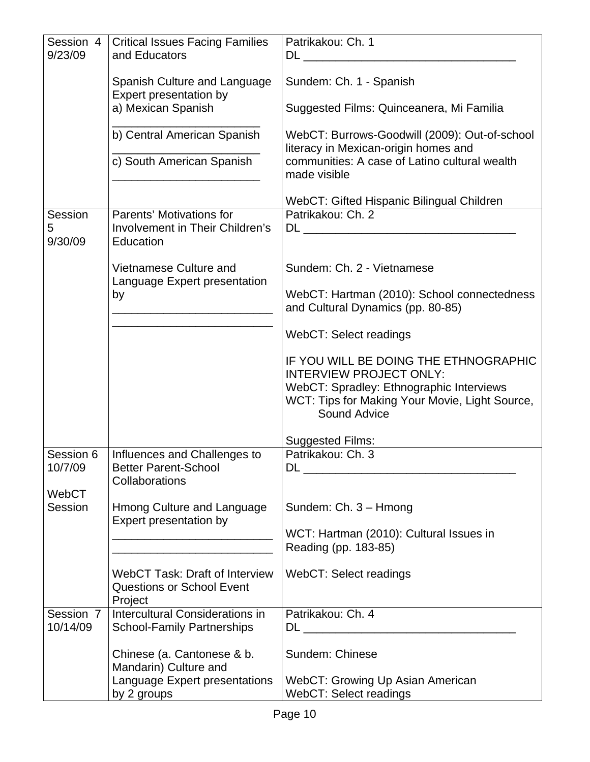| Session 4<br>9/23/09    | <b>Critical Issues Facing Families</b><br>and Educators                              | Patrikakou: Ch. 1                                                                                          |
|-------------------------|--------------------------------------------------------------------------------------|------------------------------------------------------------------------------------------------------------|
|                         | Spanish Culture and Language<br>Expert presentation by                               | Sundem: Ch. 1 - Spanish                                                                                    |
|                         | a) Mexican Spanish                                                                   | Suggested Films: Quinceanera, Mi Familia                                                                   |
|                         | b) Central American Spanish                                                          | WebCT: Burrows-Goodwill (2009): Out-of-school<br>literacy in Mexican-origin homes and                      |
|                         | c) South American Spanish                                                            | communities: A case of Latino cultural wealth<br>made visible                                              |
|                         |                                                                                      | WebCT: Gifted Hispanic Bilingual Children                                                                  |
| Session<br>5<br>9/30/09 | Parents' Motivations for<br>Involvement in Their Children's<br>Education             | Patrikakou: Ch. 2                                                                                          |
|                         | Vietnamese Culture and                                                               | Sundem: Ch. 2 - Vietnamese                                                                                 |
|                         | Language Expert presentation<br>by                                                   | WebCT: Hartman (2010): School connectedness<br>and Cultural Dynamics (pp. 80-85)                           |
|                         |                                                                                      | <b>WebCT: Select readings</b>                                                                              |
|                         |                                                                                      | IF YOU WILL BE DOING THE ETHNOGRAPHIC<br><b>INTERVIEW PROJECT ONLY:</b>                                    |
|                         |                                                                                      | WebCT: Spradley: Ethnographic Interviews<br>WCT: Tips for Making Your Movie, Light Source,<br>Sound Advice |
|                         |                                                                                      | <b>Suggested Films:</b>                                                                                    |
| Session 6               | Influences and Challenges to                                                         | Patrikakou: Ch. 3                                                                                          |
| 10/7/09                 | <b>Better Parent-School</b><br>Collaborations                                        |                                                                                                            |
| WebCT                   |                                                                                      |                                                                                                            |
| Session                 | <b>Hmong Culture and Language</b><br>Expert presentation by                          | Sundem: Ch. 3 - Hmong                                                                                      |
|                         |                                                                                      | WCT: Hartman (2010): Cultural Issues in<br>Reading (pp. 183-85)                                            |
|                         | <b>WebCT Task: Draft of Interview</b><br><b>Questions or School Event</b><br>Project | WebCT: Select readings                                                                                     |
| Session 7               | Intercultural Considerations in                                                      | Patrikakou: Ch. 4                                                                                          |
| 10/14/09                | <b>School-Family Partnerships</b>                                                    |                                                                                                            |
|                         | Chinese (a. Cantonese & b.<br>Mandarin) Culture and                                  | Sundem: Chinese                                                                                            |
|                         | Language Expert presentations<br>by 2 groups                                         | WebCT: Growing Up Asian American<br>WebCT: Select readings                                                 |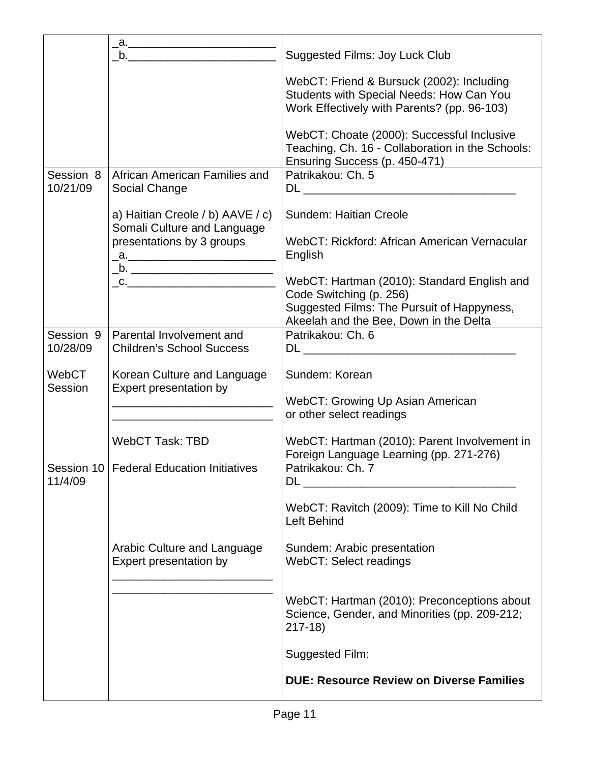|                       | $a.$ and $a.$                                                                                                                                                                                                                                                                                                                                                                                                                                                                   | <b>Suggested Films: Joy Luck Club</b>                                                                                                |
|-----------------------|---------------------------------------------------------------------------------------------------------------------------------------------------------------------------------------------------------------------------------------------------------------------------------------------------------------------------------------------------------------------------------------------------------------------------------------------------------------------------------|--------------------------------------------------------------------------------------------------------------------------------------|
|                       |                                                                                                                                                                                                                                                                                                                                                                                                                                                                                 | WebCT: Friend & Bursuck (2002): Including<br>Students with Special Needs: How Can You<br>Work Effectively with Parents? (pp. 96-103) |
|                       |                                                                                                                                                                                                                                                                                                                                                                                                                                                                                 | WebCT: Choate (2000): Successful Inclusive<br>Teaching, Ch. 16 - Collaboration in the Schools:<br>Ensuring Success (p. 450-471)      |
| Session 8<br>10/21/09 | African American Families and<br>Social Change                                                                                                                                                                                                                                                                                                                                                                                                                                  | Patrikakou: Ch. 5                                                                                                                    |
|                       | a) Haitian Creole / b) AAVE / c)<br>Somali Culture and Language                                                                                                                                                                                                                                                                                                                                                                                                                 | Sundem: Haitian Creole                                                                                                               |
|                       | presentations by 3 groups                                                                                                                                                                                                                                                                                                                                                                                                                                                       | WebCT: Rickford: African American Vernacular<br>English                                                                              |
|                       | $\overline{\phantom{a}}$ $\overline{\phantom{a}}$ $\overline{\phantom{a}}$ $\overline{\phantom{a}}$ $\overline{\phantom{a}}$ $\overline{\phantom{a}}$ $\overline{\phantom{a}}$ $\overline{\phantom{a}}$ $\overline{\phantom{a}}$ $\overline{\phantom{a}}$ $\overline{\phantom{a}}$ $\overline{\phantom{a}}$ $\overline{\phantom{a}}$ $\overline{\phantom{a}}$ $\overline{\phantom{a}}$ $\overline{\phantom{a}}$ $\overline{\phantom{a}}$ $\overline{\phantom{a}}$ $\overline{\$ | WebCT: Hartman (2010): Standard English and<br>Code Switching (p. 256)<br>Suggested Films: The Pursuit of Happyness,                 |
|                       |                                                                                                                                                                                                                                                                                                                                                                                                                                                                                 | Akeelah and the Bee, Down in the Delta                                                                                               |
| Session 9<br>10/28/09 | Parental Involvement and<br><b>Children's School Success</b>                                                                                                                                                                                                                                                                                                                                                                                                                    | Patrikakou: Ch. 6<br>DL and the state of the state of the state of the state of the state of the state of the state of the state of  |
| WebCT<br>Session      | Korean Culture and Language<br>Expert presentation by                                                                                                                                                                                                                                                                                                                                                                                                                           | Sundem: Korean                                                                                                                       |
|                       |                                                                                                                                                                                                                                                                                                                                                                                                                                                                                 | WebCT: Growing Up Asian American<br>or other select readings                                                                         |
|                       | <b>WebCT Task: TBD</b>                                                                                                                                                                                                                                                                                                                                                                                                                                                          | WebCT: Hartman (2010): Parent Involvement in<br>Foreign Language Learning (pp. 271-276)                                              |
| 11/4/09               | Session 10   Federal Education Initiatives                                                                                                                                                                                                                                                                                                                                                                                                                                      | Patrikakou: Ch. 7<br>DL                                                                                                              |
|                       |                                                                                                                                                                                                                                                                                                                                                                                                                                                                                 | WebCT: Ravitch (2009): Time to Kill No Child<br><b>Left Behind</b>                                                                   |
|                       | Arabic Culture and Language<br>Expert presentation by                                                                                                                                                                                                                                                                                                                                                                                                                           | Sundem: Arabic presentation<br>WebCT: Select readings                                                                                |
|                       |                                                                                                                                                                                                                                                                                                                                                                                                                                                                                 | WebCT: Hartman (2010): Preconceptions about<br>Science, Gender, and Minorities (pp. 209-212;<br>$217-18$                             |
|                       |                                                                                                                                                                                                                                                                                                                                                                                                                                                                                 | <b>Suggested Film:</b>                                                                                                               |
|                       |                                                                                                                                                                                                                                                                                                                                                                                                                                                                                 | <b>DUE: Resource Review on Diverse Families</b>                                                                                      |